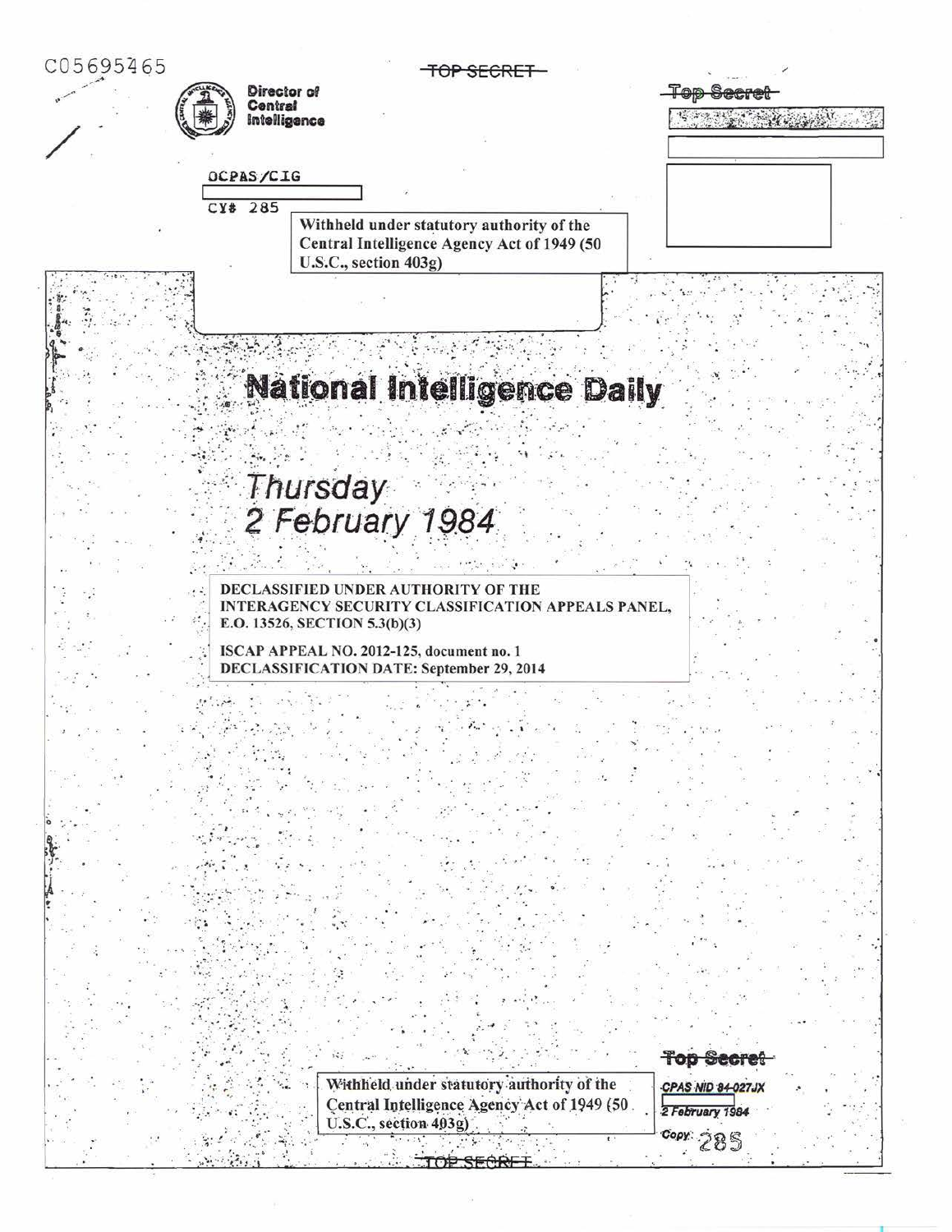| C05695465 |                                                                                                                   |                   |
|-----------|-------------------------------------------------------------------------------------------------------------------|-------------------|
|           | Director of<br>Central                                                                                            |                   |
|           | Intelligence                                                                                                      |                   |
|           |                                                                                                                   |                   |
|           | OCPAS/CIG                                                                                                         |                   |
|           | CY# 285                                                                                                           |                   |
|           | Withheld under statutory authority of the<br>Central Intelligence Agency Act of 1949 (50<br>U.S.C., section 403g) |                   |
|           |                                                                                                                   |                   |
|           |                                                                                                                   |                   |
|           |                                                                                                                   |                   |
|           | <b>National Intelligence Daily</b>                                                                                |                   |
|           |                                                                                                                   |                   |
|           |                                                                                                                   |                   |
|           | Thursday                                                                                                          |                   |
|           |                                                                                                                   |                   |
|           | 2 February 1984                                                                                                   |                   |
|           |                                                                                                                   |                   |
|           | DECLASSIFIED UNDER AUTHORITY OF THE                                                                               |                   |
|           | INTERAGENCY SECURITY CLASSIFICATION APPEALS PANEL,<br>E.O. 13526, SECTION 5.3(b)(3)                               |                   |
|           | ISCAP APPEAL NO. 2012-125, document no. 1                                                                         |                   |
|           | <b>DECLASSIFICATION DATE: September 29, 2014</b>                                                                  |                   |
|           |                                                                                                                   |                   |
|           |                                                                                                                   |                   |
|           |                                                                                                                   |                   |
|           |                                                                                                                   |                   |
|           |                                                                                                                   |                   |
|           |                                                                                                                   |                   |
|           |                                                                                                                   |                   |
|           |                                                                                                                   |                   |
|           |                                                                                                                   |                   |
|           |                                                                                                                   |                   |
|           |                                                                                                                   |                   |
|           |                                                                                                                   |                   |
|           |                                                                                                                   |                   |
|           |                                                                                                                   |                   |
|           |                                                                                                                   | <b>Top Secret</b> |
|           | Withheld under statutory authority of the                                                                         | CPAS NID 84-027JX |
|           | Central Intelligence Agency Act of 1949 (50.<br>U.S.C., section 403g)                                             | 2 February 1984   |
|           |                                                                                                                   | COPY 285          |